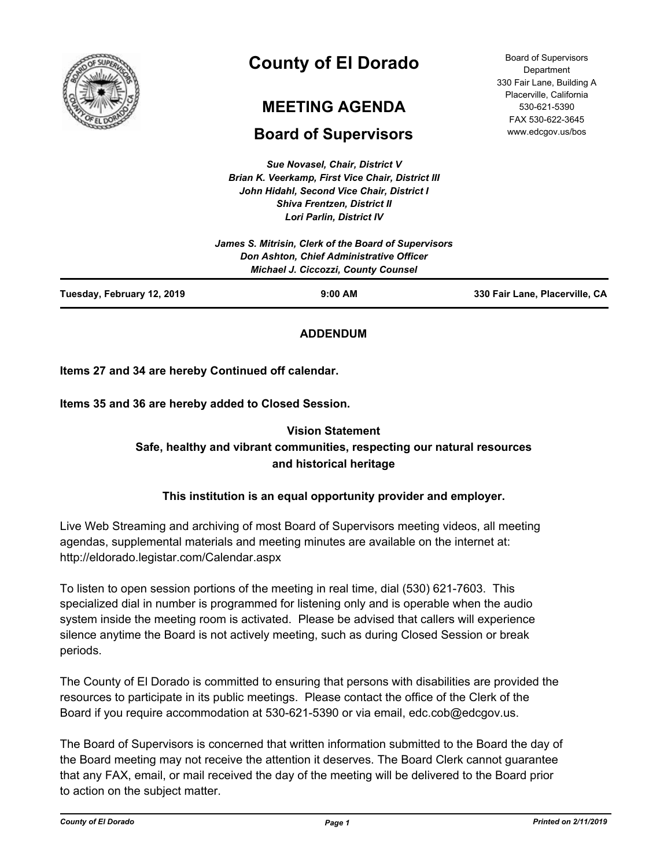

# **County of El Dorado**

## **MEETING AGENDA**

## **Board of Supervisors**

*Sue Novasel, Chair, District V Brian K. Veerkamp, First Vice Chair, District III John Hidahl, Second Vice Chair, District I Shiva Frentzen, District II Lori Parlin, District IV*

|                            | James S. Mitrisin, Clerk of the Board of Supervisors<br>Don Ashton, Chief Administrative Officer<br><b>Michael J. Ciccozzi, County Counsel</b> |                                |
|----------------------------|------------------------------------------------------------------------------------------------------------------------------------------------|--------------------------------|
| Tuesday, February 12, 2019 | $9:00$ AM                                                                                                                                      | 330 Fair Lane, Placerville, CA |

#### **ADDENDUM**

**Items 27 and 34 are hereby Continued off calendar.**

**Items 35 and 36 are hereby added to Closed Session.**

### **Vision Statement Safe, healthy and vibrant communities, respecting our natural resources and historical heritage**

#### **This institution is an equal opportunity provider and employer.**

Live Web Streaming and archiving of most Board of Supervisors meeting videos, all meeting agendas, supplemental materials and meeting minutes are available on the internet at: http://eldorado.legistar.com/Calendar.aspx

To listen to open session portions of the meeting in real time, dial (530) 621-7603. This specialized dial in number is programmed for listening only and is operable when the audio system inside the meeting room is activated. Please be advised that callers will experience silence anytime the Board is not actively meeting, such as during Closed Session or break periods.

The County of El Dorado is committed to ensuring that persons with disabilities are provided the resources to participate in its public meetings. Please contact the office of the Clerk of the Board if you require accommodation at 530-621-5390 or via email, edc.cob@edcgov.us.

The Board of Supervisors is concerned that written information submitted to the Board the day of the Board meeting may not receive the attention it deserves. The Board Clerk cannot guarantee that any FAX, email, or mail received the day of the meeting will be delivered to the Board prior to action on the subject matter.

Board of Supervisors **Department** 330 Fair Lane, Building A Placerville, California 530-621-5390 FAX 530-622-3645 www.edcgov.us/bos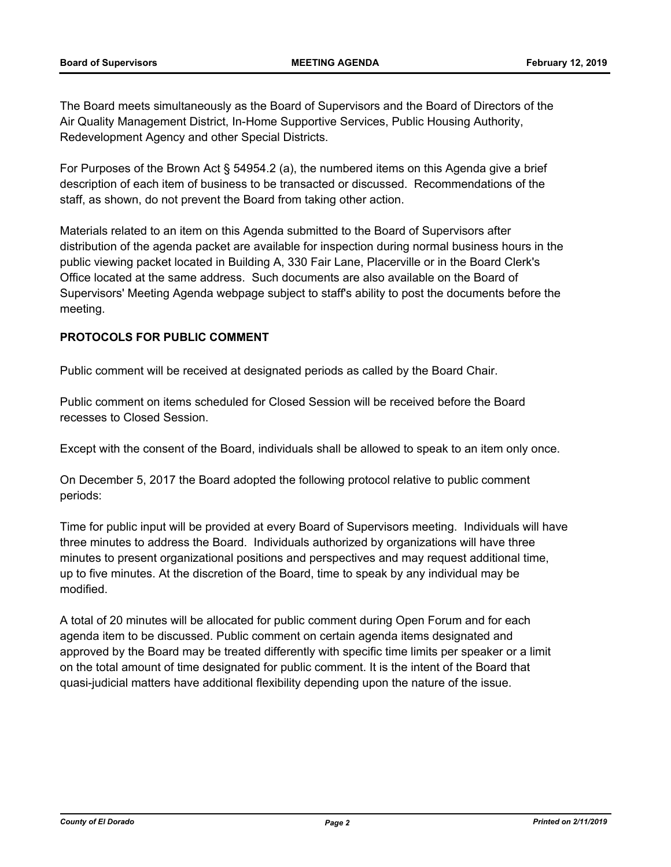The Board meets simultaneously as the Board of Supervisors and the Board of Directors of the Air Quality Management District, In-Home Supportive Services, Public Housing Authority, Redevelopment Agency and other Special Districts.

For Purposes of the Brown Act § 54954.2 (a), the numbered items on this Agenda give a brief description of each item of business to be transacted or discussed. Recommendations of the staff, as shown, do not prevent the Board from taking other action.

Materials related to an item on this Agenda submitted to the Board of Supervisors after distribution of the agenda packet are available for inspection during normal business hours in the public viewing packet located in Building A, 330 Fair Lane, Placerville or in the Board Clerk's Office located at the same address. Such documents are also available on the Board of Supervisors' Meeting Agenda webpage subject to staff's ability to post the documents before the meeting.

#### **PROTOCOLS FOR PUBLIC COMMENT**

Public comment will be received at designated periods as called by the Board Chair.

Public comment on items scheduled for Closed Session will be received before the Board recesses to Closed Session.

Except with the consent of the Board, individuals shall be allowed to speak to an item only once.

On December 5, 2017 the Board adopted the following protocol relative to public comment periods:

Time for public input will be provided at every Board of Supervisors meeting. Individuals will have three minutes to address the Board. Individuals authorized by organizations will have three minutes to present organizational positions and perspectives and may request additional time, up to five minutes. At the discretion of the Board, time to speak by any individual may be modified.

A total of 20 minutes will be allocated for public comment during Open Forum and for each agenda item to be discussed. Public comment on certain agenda items designated and approved by the Board may be treated differently with specific time limits per speaker or a limit on the total amount of time designated for public comment. It is the intent of the Board that quasi-judicial matters have additional flexibility depending upon the nature of the issue.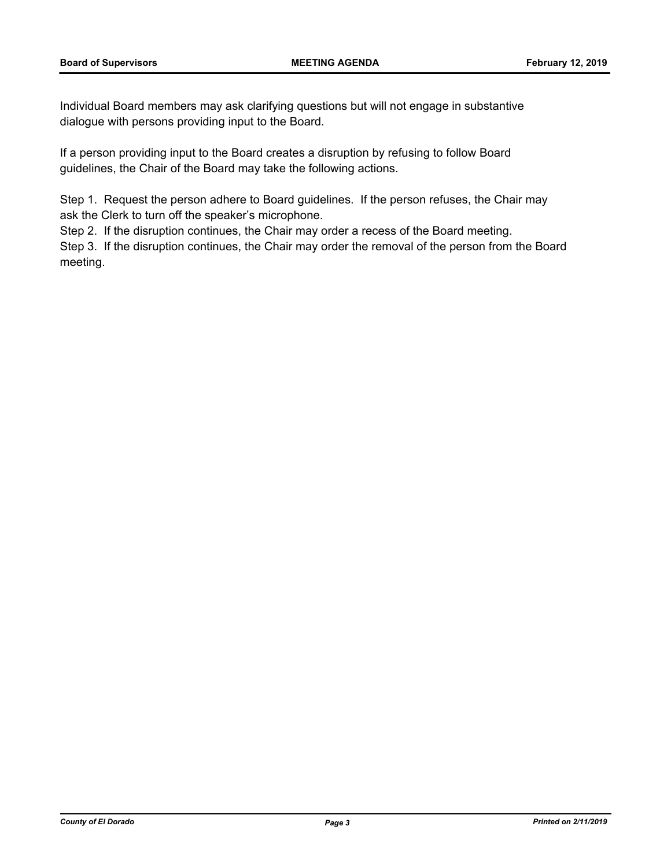Individual Board members may ask clarifying questions but will not engage in substantive dialogue with persons providing input to the Board.

If a person providing input to the Board creates a disruption by refusing to follow Board guidelines, the Chair of the Board may take the following actions.

Step 1. Request the person adhere to Board guidelines. If the person refuses, the Chair may ask the Clerk to turn off the speaker's microphone.

Step 2. If the disruption continues, the Chair may order a recess of the Board meeting.

Step 3. If the disruption continues, the Chair may order the removal of the person from the Board meeting.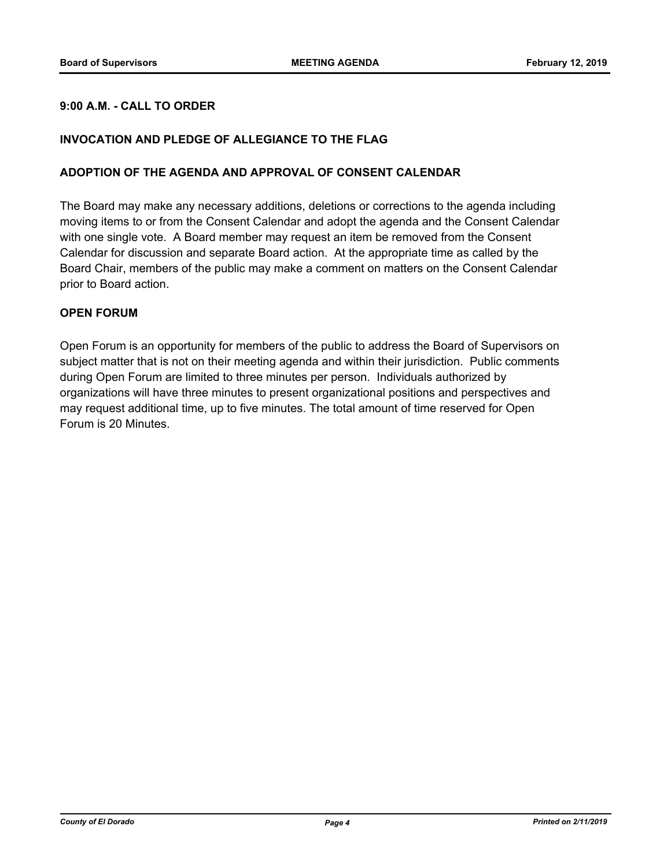#### **9:00 A.M. - CALL TO ORDER**

#### **INVOCATION AND PLEDGE OF ALLEGIANCE TO THE FLAG**

#### **ADOPTION OF THE AGENDA AND APPROVAL OF CONSENT CALENDAR**

The Board may make any necessary additions, deletions or corrections to the agenda including moving items to or from the Consent Calendar and adopt the agenda and the Consent Calendar with one single vote. A Board member may request an item be removed from the Consent Calendar for discussion and separate Board action. At the appropriate time as called by the Board Chair, members of the public may make a comment on matters on the Consent Calendar prior to Board action.

#### **OPEN FORUM**

Open Forum is an opportunity for members of the public to address the Board of Supervisors on subject matter that is not on their meeting agenda and within their jurisdiction. Public comments during Open Forum are limited to three minutes per person. Individuals authorized by organizations will have three minutes to present organizational positions and perspectives and may request additional time, up to five minutes. The total amount of time reserved for Open Forum is 20 Minutes.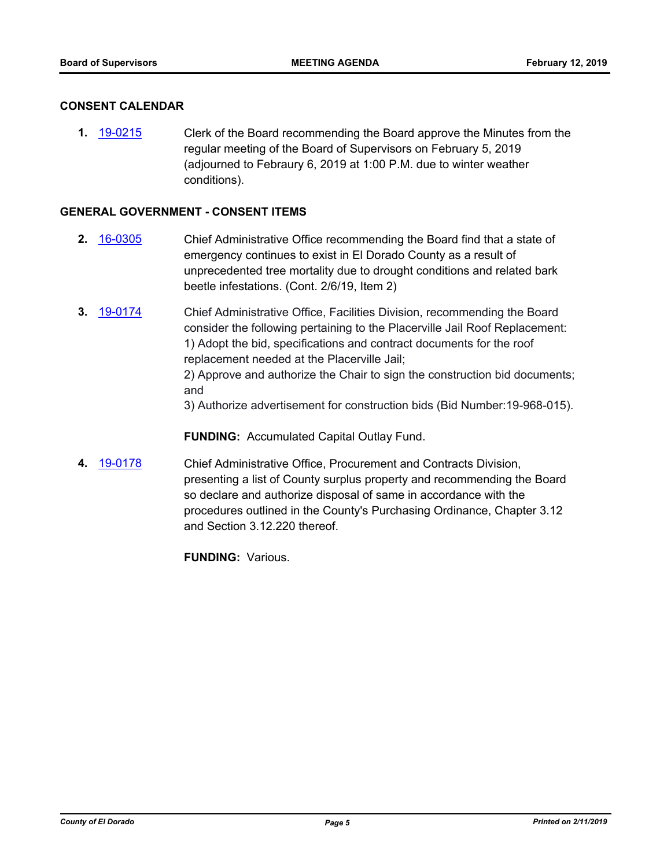#### **CONSENT CALENDAR**

**1.** [19-0215](http://eldorado.legistar.com/gateway.aspx?m=l&id=/matter.aspx?key=25535) Clerk of the Board recommending the Board approve the Minutes from the regular meeting of the Board of Supervisors on February 5, 2019 (adjourned to Febraury 6, 2019 at 1:00 P.M. due to winter weather conditions).

#### **GENERAL GOVERNMENT - CONSENT ITEMS**

- **2.** [16-0305](http://eldorado.legistar.com/gateway.aspx?m=l&id=/matter.aspx?key=20961) Chief Administrative Office recommending the Board find that a state of emergency continues to exist in El Dorado County as a result of unprecedented tree mortality due to drought conditions and related bark beetle infestations. (Cont. 2/6/19, Item 2)
- **3.** [19-0174](http://eldorado.legistar.com/gateway.aspx?m=l&id=/matter.aspx?key=25494) Chief Administrative Office, Facilities Division, recommending the Board consider the following pertaining to the Placerville Jail Roof Replacement: 1) Adopt the bid, specifications and contract documents for the roof replacement needed at the Placerville Jail; 2) Approve and authorize the Chair to sign the construction bid documents; and

3) Authorize advertisement for construction bids (Bid Number:19-968-015).

**FUNDING:** Accumulated Capital Outlay Fund.

**4.** [19-0178](http://eldorado.legistar.com/gateway.aspx?m=l&id=/matter.aspx?key=25498) Chief Administrative Office, Procurement and Contracts Division, presenting a list of County surplus property and recommending the Board so declare and authorize disposal of same in accordance with the procedures outlined in the County's Purchasing Ordinance, Chapter 3.12 and Section 3.12.220 thereof.

**FUNDING:** Various.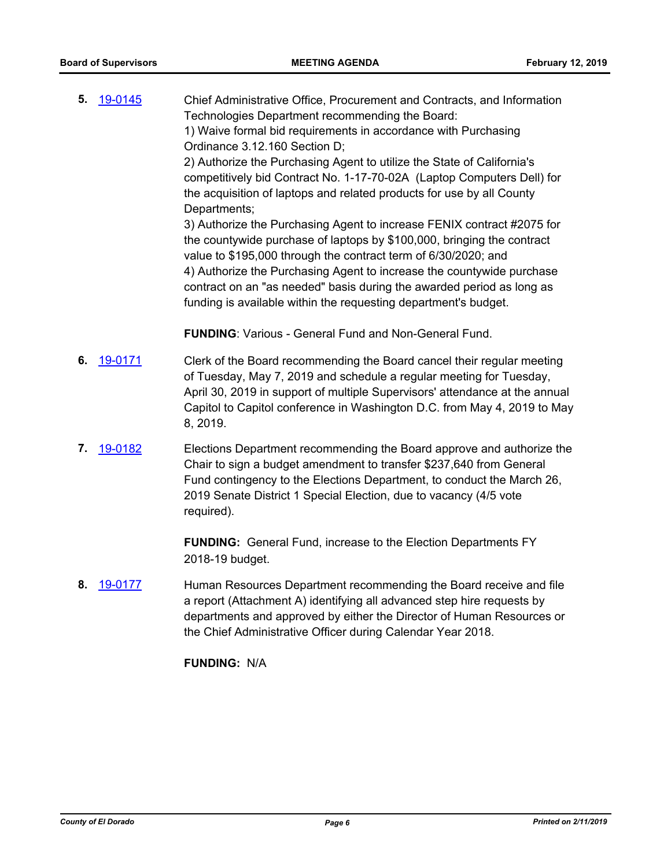**5.** [19-0145](http://eldorado.legistar.com/gateway.aspx?m=l&id=/matter.aspx?key=25465) Chief Administrative Office, Procurement and Contracts, and Information Technologies Department recommending the Board: 1) Waive formal bid requirements in accordance with Purchasing Ordinance 3.12.160 Section D; 2) Authorize the Purchasing Agent to utilize the State of California's competitively bid Contract No. 1-17-70-02A (Laptop Computers Dell) for the acquisition of laptops and related products for use by all County Departments; 3) Authorize the Purchasing Agent to increase FENIX contract #2075 for the countywide purchase of laptops by \$100,000, bringing the contract value to \$195,000 through the contract term of 6/30/2020; and 4) Authorize the Purchasing Agent to increase the countywide purchase contract on an "as needed" basis during the awarded period as long as funding is available within the requesting department's budget.

**FUNDING**: Various - General Fund and Non-General Fund.

- **6.** [19-0171](http://eldorado.legistar.com/gateway.aspx?m=l&id=/matter.aspx?key=25491) Clerk of the Board recommending the Board cancel their regular meeting of Tuesday, May 7, 2019 and schedule a regular meeting for Tuesday, April 30, 2019 in support of multiple Supervisors' attendance at the annual Capitol to Capitol conference in Washington D.C. from May 4, 2019 to May 8, 2019.
- **7.** [19-0182](http://eldorado.legistar.com/gateway.aspx?m=l&id=/matter.aspx?key=25502) Elections Department recommending the Board approve and authorize the Chair to sign a budget amendment to transfer \$237,640 from General Fund contingency to the Elections Department, to conduct the March 26, 2019 Senate District 1 Special Election, due to vacancy (4/5 vote required).

**FUNDING:** General Fund, increase to the Election Departments FY 2018-19 budget.

**8.** [19-0177](http://eldorado.legistar.com/gateway.aspx?m=l&id=/matter.aspx?key=25497) Human Resources Department recommending the Board receive and file a report (Attachment A) identifying all advanced step hire requests by departments and approved by either the Director of Human Resources or the Chief Administrative Officer during Calendar Year 2018.

**FUNDING:** N/A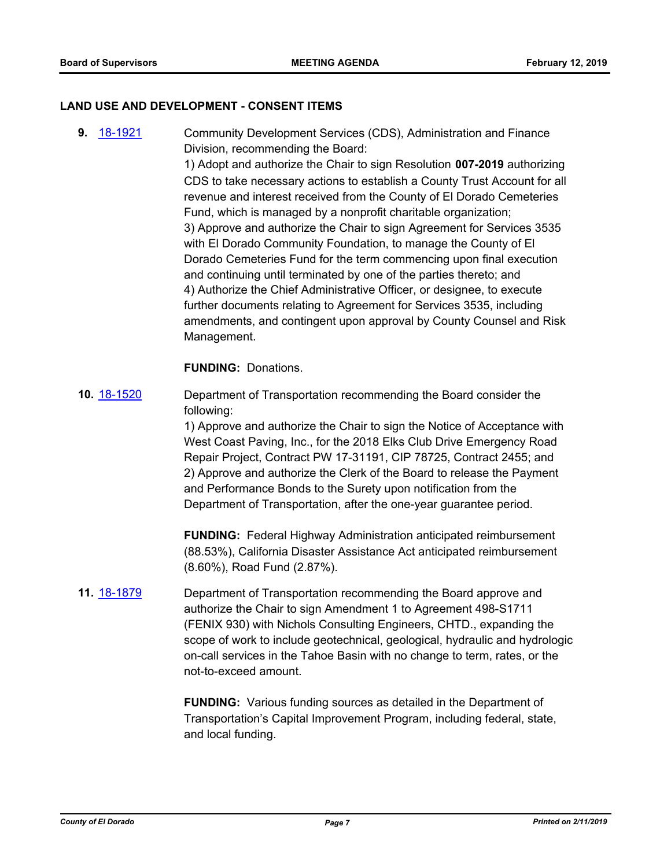#### **LAND USE AND DEVELOPMENT - CONSENT ITEMS**

**9.** [18-1921](http://eldorado.legistar.com/gateway.aspx?m=l&id=/matter.aspx?key=25271) Community Development Services (CDS), Administration and Finance Division, recommending the Board:

1) Adopt and authorize the Chair to sign Resolution **007-2019** authorizing CDS to take necessary actions to establish a County Trust Account for all revenue and interest received from the County of El Dorado Cemeteries Fund, which is managed by a nonprofit charitable organization; 3) Approve and authorize the Chair to sign Agreement for Services 3535 with El Dorado Community Foundation, to manage the County of El Dorado Cemeteries Fund for the term commencing upon final execution and continuing until terminated by one of the parties thereto; and 4) Authorize the Chief Administrative Officer, or designee, to execute further documents relating to Agreement for Services 3535, including amendments, and contingent upon approval by County Counsel and Risk Management.

#### **FUNDING:** Donations.

**10.** [18-1520](http://eldorado.legistar.com/gateway.aspx?m=l&id=/matter.aspx?key=24871) Department of Transportation recommending the Board consider the following:

> 1) Approve and authorize the Chair to sign the Notice of Acceptance with West Coast Paving, Inc., for the 2018 Elks Club Drive Emergency Road Repair Project, Contract PW 17-31191, CIP 78725, Contract 2455; and 2) Approve and authorize the Clerk of the Board to release the Payment and Performance Bonds to the Surety upon notification from the Department of Transportation, after the one-year guarantee period.

**FUNDING:** Federal Highway Administration anticipated reimbursement (88.53%), California Disaster Assistance Act anticipated reimbursement (8.60%), Road Fund (2.87%).

**11.** [18-1879](http://eldorado.legistar.com/gateway.aspx?m=l&id=/matter.aspx?key=25229) Department of Transportation recommending the Board approve and authorize the Chair to sign Amendment 1 to Agreement 498-S1711 (FENIX 930) with Nichols Consulting Engineers, CHTD., expanding the scope of work to include geotechnical, geological, hydraulic and hydrologic on-call services in the Tahoe Basin with no change to term, rates, or the not-to-exceed amount.

> **FUNDING:** Various funding sources as detailed in the Department of Transportation's Capital Improvement Program, including federal, state, and local funding.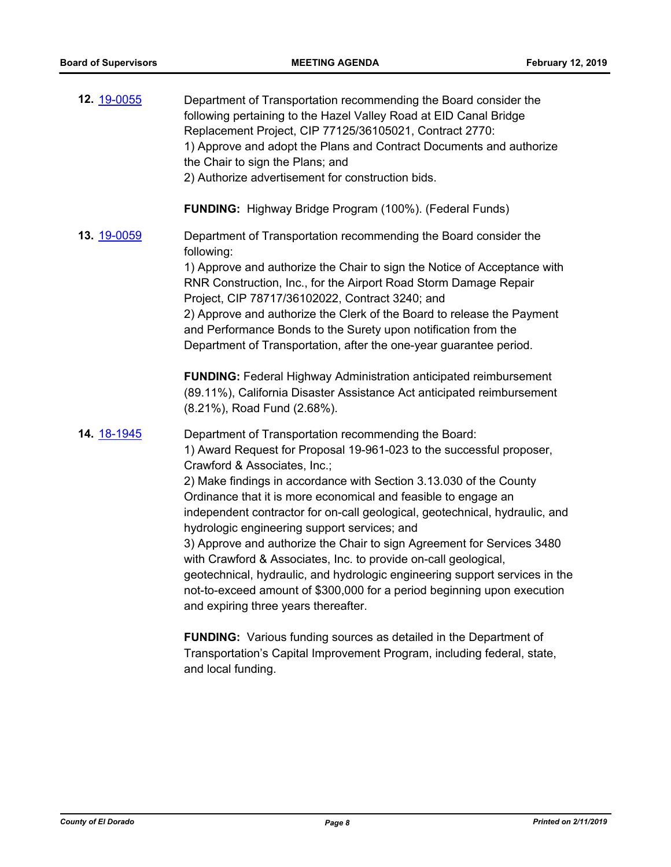| 12. 19-0055 | Department of Transportation recommending the Board consider the<br>following pertaining to the Hazel Valley Road at EID Canal Bridge<br>Replacement Project, CIP 77125/36105021, Contract 2770:<br>1) Approve and adopt the Plans and Contract Documents and authorize<br>the Chair to sign the Plans; and<br>2) Authorize advertisement for construction bids. |
|-------------|------------------------------------------------------------------------------------------------------------------------------------------------------------------------------------------------------------------------------------------------------------------------------------------------------------------------------------------------------------------|
|             | <b>FUNDING:</b> Highway Bridge Program (100%). (Federal Funds)                                                                                                                                                                                                                                                                                                   |
| 13. 19-0059 | Department of Transportation recommending the Board consider the<br>following:                                                                                                                                                                                                                                                                                   |
|             | 1) Approve and authorize the Chair to sign the Notice of Acceptance with<br>RNR Construction, Inc., for the Airport Road Storm Damage Repair<br>Project, CIP 78717/36102022, Contract 3240; and                                                                                                                                                                  |
|             | 2) Approve and authorize the Clerk of the Board to release the Payment<br>and Performance Bonds to the Surety upon notification from the<br>Department of Transportation, after the one-year guarantee period.                                                                                                                                                   |
|             | <b>FUNDING: Federal Highway Administration anticipated reimbursement</b><br>(89.11%), California Disaster Assistance Act anticipated reimbursement<br>(8.21%), Road Fund (2.68%).                                                                                                                                                                                |
| 14. 18-1945 | Department of Transportation recommending the Board:<br>1) Award Request for Proposal 19-961-023 to the successful proposer,<br>Crawford & Associates, Inc.;                                                                                                                                                                                                     |
|             | 2) Make findings in accordance with Section 3.13.030 of the County<br>Ordinance that it is more economical and feasible to engage an<br>independent contractor for on-call geological, geotechnical, hydraulic, and<br>hydrologic engineering support services; and                                                                                              |
|             | 3) Approve and authorize the Chair to sign Agreement for Services 3480<br>with Crawford & Associates, Inc. to provide on-call geological,<br>geotechnical, hydraulic, and hydrologic engineering support services in the<br>not-to-exceed amount of \$300,000 for a period beginning upon execution<br>and expiring three years thereafter.                      |
|             | <b>FUNDING:</b> Various funding sources as detailed in the Department of                                                                                                                                                                                                                                                                                         |

Transportation's Capital Improvement Program, including federal, state, and local funding.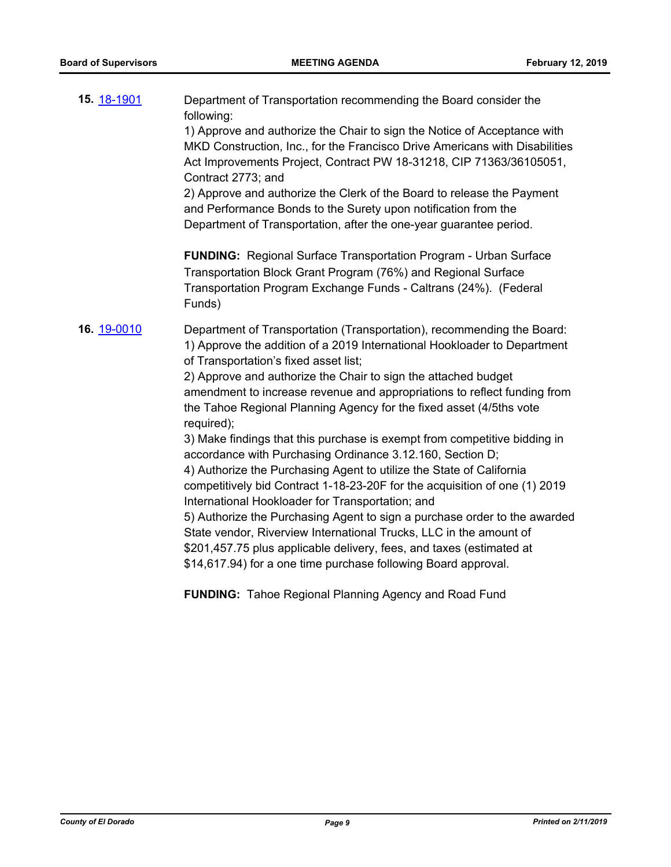| 15. 18-1901 | Department of Transportation recommending the Board consider the<br>following:<br>1) Approve and authorize the Chair to sign the Notice of Acceptance with<br>MKD Construction, Inc., for the Francisco Drive Americans with Disabilities<br>Act Improvements Project, Contract PW 18-31218, CIP 71363/36105051,<br>Contract 2773; and<br>2) Approve and authorize the Clerk of the Board to release the Payment<br>and Performance Bonds to the Surety upon notification from the<br>Department of Transportation, after the one-year guarantee period.<br><b>FUNDING:</b> Regional Surface Transportation Program - Urban Surface<br>Transportation Block Grant Program (76%) and Regional Surface<br>Transportation Program Exchange Funds - Caltrans (24%). (Federal<br>Funds)                                                                                                                                                                                                                                                                                              |
|-------------|---------------------------------------------------------------------------------------------------------------------------------------------------------------------------------------------------------------------------------------------------------------------------------------------------------------------------------------------------------------------------------------------------------------------------------------------------------------------------------------------------------------------------------------------------------------------------------------------------------------------------------------------------------------------------------------------------------------------------------------------------------------------------------------------------------------------------------------------------------------------------------------------------------------------------------------------------------------------------------------------------------------------------------------------------------------------------------|
| 16. 19-0010 | Department of Transportation (Transportation), recommending the Board:<br>1) Approve the addition of a 2019 International Hookloader to Department<br>of Transportation's fixed asset list;<br>2) Approve and authorize the Chair to sign the attached budget<br>amendment to increase revenue and appropriations to reflect funding from<br>the Tahoe Regional Planning Agency for the fixed asset (4/5ths vote<br>required);<br>3) Make findings that this purchase is exempt from competitive bidding in<br>accordance with Purchasing Ordinance 3.12.160, Section D;<br>4) Authorize the Purchasing Agent to utilize the State of California<br>competitively bid Contract 1-18-23-20F for the acquisition of one (1) 2019<br>International Hookloader for Transportation; and<br>5) Authorize the Purchasing Agent to sign a purchase order to the awarded<br>State vendor, Riverview International Trucks, LLC in the amount of<br>\$201,457.75 plus applicable delivery, fees, and taxes (estimated at<br>\$14,617.94) for a one time purchase following Board approval. |

**FUNDING:** Tahoe Regional Planning Agency and Road Fund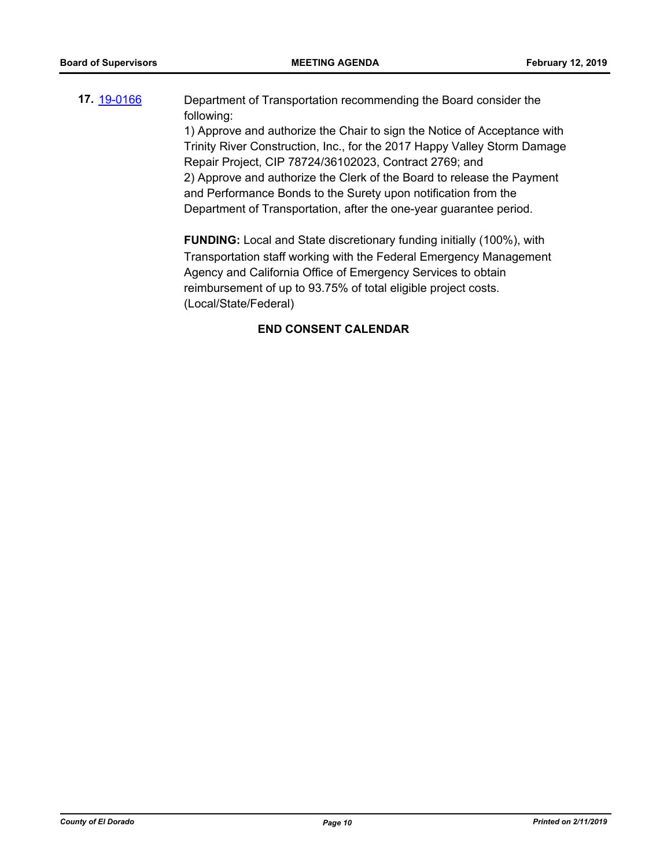## **17.** [19-0166](http://eldorado.legistar.com/gateway.aspx?m=l&id=/matter.aspx?key=25486) Department of Transportation recommending the Board consider the following:

1) Approve and authorize the Chair to sign the Notice of Acceptance with Trinity River Construction, Inc., for the 2017 Happy Valley Storm Damage Repair Project, CIP 78724/36102023, Contract 2769; and 2) Approve and authorize the Clerk of the Board to release the Payment and Performance Bonds to the Surety upon notification from the Department of Transportation, after the one-year guarantee period.

**FUNDING:** Local and State discretionary funding initially (100%), with Transportation staff working with the Federal Emergency Management Agency and California Office of Emergency Services to obtain reimbursement of up to 93.75% of total eligible project costs. (Local/State/Federal)

#### **END CONSENT CALENDAR**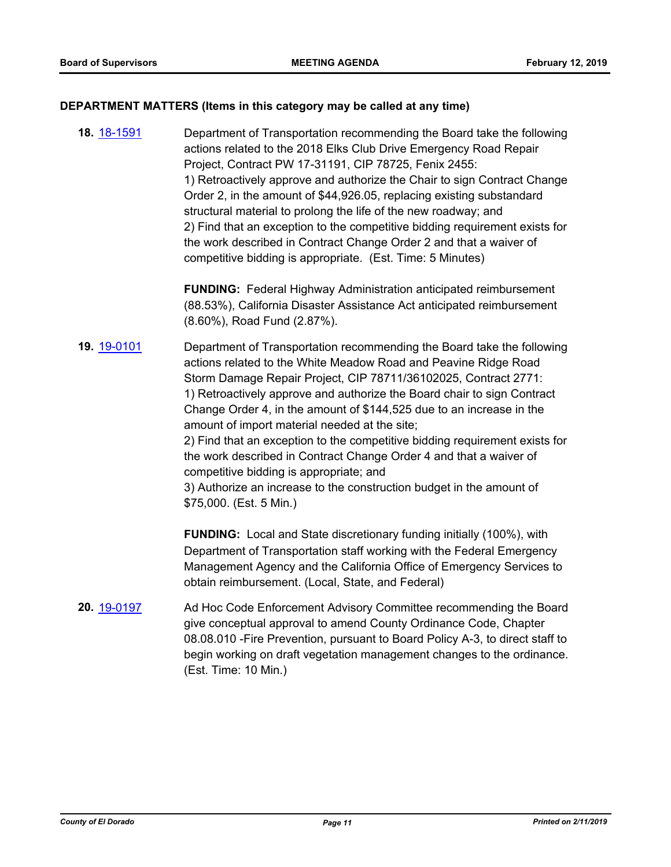#### **DEPARTMENT MATTERS (Items in this category may be called at any time)**

**18.** [18-1591](http://eldorado.legistar.com/gateway.aspx?m=l&id=/matter.aspx?key=24942) Department of Transportation recommending the Board take the following actions related to the 2018 Elks Club Drive Emergency Road Repair Project, Contract PW 17-31191, CIP 78725, Fenix 2455: 1) Retroactively approve and authorize the Chair to sign Contract Change Order 2, in the amount of \$44,926.05, replacing existing substandard structural material to prolong the life of the new roadway; and 2) Find that an exception to the competitive bidding requirement exists for the work described in Contract Change Order 2 and that a waiver of competitive bidding is appropriate. (Est. Time: 5 Minutes)

> **FUNDING:** Federal Highway Administration anticipated reimbursement (88.53%), California Disaster Assistance Act anticipated reimbursement (8.60%), Road Fund (2.87%).

**19.** [19-0101](http://eldorado.legistar.com/gateway.aspx?m=l&id=/matter.aspx?key=25422) Department of Transportation recommending the Board take the following actions related to the White Meadow Road and Peavine Ridge Road Storm Damage Repair Project, CIP 78711/36102025, Contract 2771: 1) Retroactively approve and authorize the Board chair to sign Contract Change Order 4, in the amount of \$144,525 due to an increase in the amount of import material needed at the site;

> 2) Find that an exception to the competitive bidding requirement exists for the work described in Contract Change Order 4 and that a waiver of competitive bidding is appropriate; and

3) Authorize an increase to the construction budget in the amount of \$75,000. (Est. 5 Min.)

**FUNDING:** Local and State discretionary funding initially (100%), with Department of Transportation staff working with the Federal Emergency Management Agency and the California Office of Emergency Services to obtain reimbursement. (Local, State, and Federal)

**20.** [19-0197](http://eldorado.legistar.com/gateway.aspx?m=l&id=/matter.aspx?key=25517) Ad Hoc Code Enforcement Advisory Committee recommending the Board give conceptual approval to amend County Ordinance Code, Chapter 08.08.010 -Fire Prevention, pursuant to Board Policy A-3, to direct staff to begin working on draft vegetation management changes to the ordinance. (Est. Time: 10 Min.)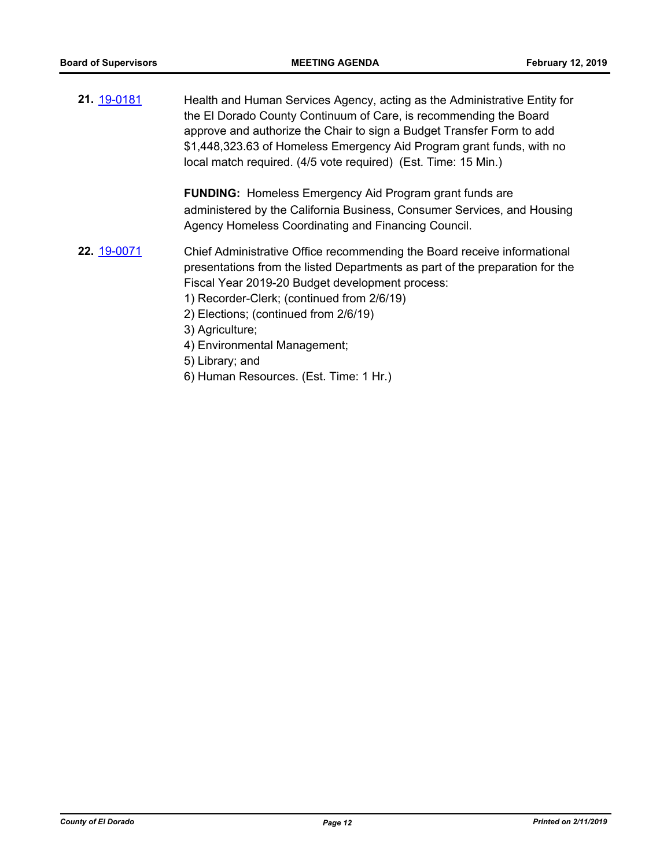**21.** [19-0181](http://eldorado.legistar.com/gateway.aspx?m=l&id=/matter.aspx?key=25501) Health and Human Services Agency, acting as the Administrative Entity for the El Dorado County Continuum of Care, is recommending the Board approve and authorize the Chair to sign a Budget Transfer Form to add \$1,448,323.63 of Homeless Emergency Aid Program grant funds, with no local match required. (4/5 vote required) (Est. Time: 15 Min.)

> **FUNDING:** Homeless Emergency Aid Program grant funds are administered by the California Business, Consumer Services, and Housing Agency Homeless Coordinating and Financing Council.

- **22.** [19-0071](http://eldorado.legistar.com/gateway.aspx?m=l&id=/matter.aspx?key=25392) Chief Administrative Office recommending the Board receive informational presentations from the listed Departments as part of the preparation for the Fiscal Year 2019-20 Budget development process:
	- 1) Recorder-Clerk; (continued from 2/6/19)
	- 2) Elections; (continued from 2/6/19)
	- 3) Agriculture;
	- 4) Environmental Management;
	- 5) Library; and
	- 6) Human Resources. (Est. Time: 1 Hr.)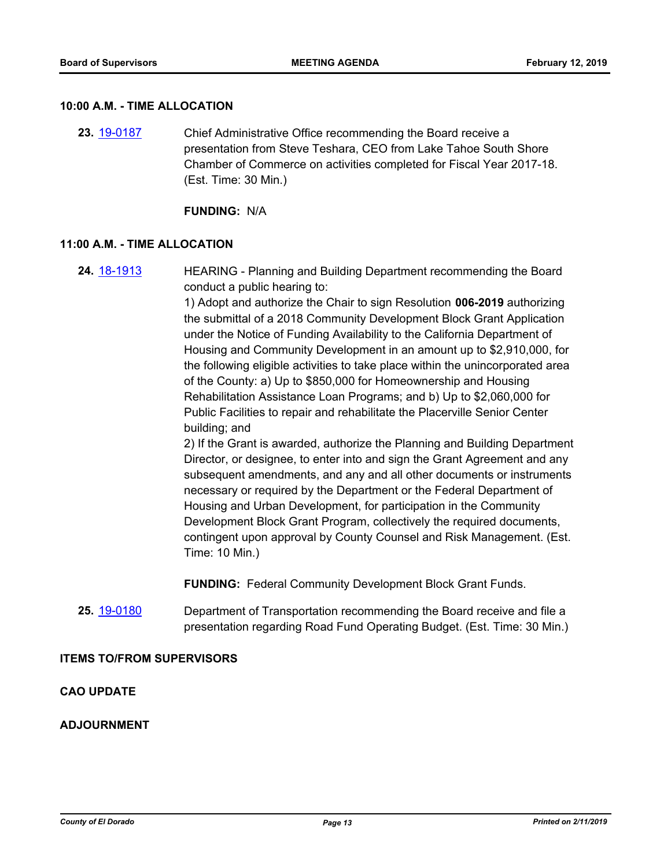#### **10:00 A.M. - TIME ALLOCATION**

**23.** [19-0187](http://eldorado.legistar.com/gateway.aspx?m=l&id=/matter.aspx?key=25507) Chief Administrative Office recommending the Board receive a presentation from Steve Teshara, CEO from Lake Tahoe South Shore Chamber of Commerce on activities completed for Fiscal Year 2017-18. (Est. Time: 30 Min.)

**FUNDING:** N/A

#### **11:00 A.M. - TIME ALLOCATION**

**24.** [18-1913](http://eldorado.legistar.com/gateway.aspx?m=l&id=/matter.aspx?key=25263) HEARING - Planning and Building Department recommending the Board conduct a public hearing to:

> 1) Adopt and authorize the Chair to sign Resolution **006-2019** authorizing the submittal of a 2018 Community Development Block Grant Application under the Notice of Funding Availability to the California Department of Housing and Community Development in an amount up to \$2,910,000, for the following eligible activities to take place within the unincorporated area of the County: a) Up to \$850,000 for Homeownership and Housing Rehabilitation Assistance Loan Programs; and b) Up to \$2,060,000 for Public Facilities to repair and rehabilitate the Placerville Senior Center building; and

> 2) If the Grant is awarded, authorize the Planning and Building Department Director, or designee, to enter into and sign the Grant Agreement and any subsequent amendments, and any and all other documents or instruments necessary or required by the Department or the Federal Department of Housing and Urban Development, for participation in the Community Development Block Grant Program, collectively the required documents, contingent upon approval by County Counsel and Risk Management. (Est. Time: 10 Min.)

**FUNDING:** Federal Community Development Block Grant Funds.

**25.** [19-0180](http://eldorado.legistar.com/gateway.aspx?m=l&id=/matter.aspx?key=25500) Department of Transportation recommending the Board receive and file a presentation regarding Road Fund Operating Budget. (Est. Time: 30 Min.)

#### **ITEMS TO/FROM SUPERVISORS**

#### **CAO UPDATE**

#### **ADJOURNMENT**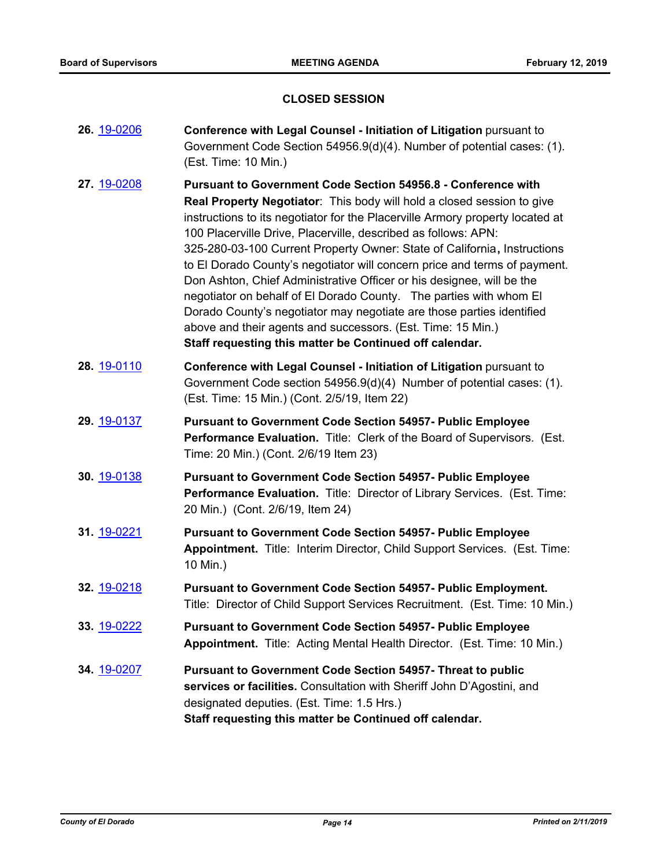### **CLOSED SESSION**

| 26. 19-0206        | Conference with Legal Counsel - Initiation of Litigation pursuant to<br>Government Code Section 54956.9(d)(4). Number of potential cases: (1).<br>(Est. Time: 10 Min.)                                                                                                                                                                                                                                                                                                                                                                                                                                                                                                                                                                                                                                       |
|--------------------|--------------------------------------------------------------------------------------------------------------------------------------------------------------------------------------------------------------------------------------------------------------------------------------------------------------------------------------------------------------------------------------------------------------------------------------------------------------------------------------------------------------------------------------------------------------------------------------------------------------------------------------------------------------------------------------------------------------------------------------------------------------------------------------------------------------|
| 27. 19-0208        | <b>Pursuant to Government Code Section 54956.8 - Conference with</b><br>Real Property Negotiator: This body will hold a closed session to give<br>instructions to its negotiator for the Placerville Armory property located at<br>100 Placerville Drive, Placerville, described as follows: APN:<br>325-280-03-100 Current Property Owner: State of California, Instructions<br>to El Dorado County's negotiator will concern price and terms of payment.<br>Don Ashton, Chief Administrative Officer or his designee, will be the<br>negotiator on behalf of El Dorado County. The parties with whom El<br>Dorado County's negotiator may negotiate are those parties identified<br>above and their agents and successors. (Est. Time: 15 Min.)<br>Staff requesting this matter be Continued off calendar. |
| 28. 19-0110        | Conference with Legal Counsel - Initiation of Litigation pursuant to<br>Government Code section 54956.9(d)(4) Number of potential cases: (1).<br>(Est. Time: 15 Min.) (Cont. 2/5/19, Item 22)                                                                                                                                                                                                                                                                                                                                                                                                                                                                                                                                                                                                                |
| 29. 19-0137        | <b>Pursuant to Government Code Section 54957- Public Employee</b><br>Performance Evaluation. Title: Clerk of the Board of Supervisors. (Est.<br>Time: 20 Min.) (Cont. 2/6/19 Item 23)                                                                                                                                                                                                                                                                                                                                                                                                                                                                                                                                                                                                                        |
| 30. 19-0138        | <b>Pursuant to Government Code Section 54957- Public Employee</b><br>Performance Evaluation. Title: Director of Library Services. (Est. Time:<br>20 Min.) (Cont. 2/6/19, Item 24)                                                                                                                                                                                                                                                                                                                                                                                                                                                                                                                                                                                                                            |
| 31. 19-0221        | <b>Pursuant to Government Code Section 54957- Public Employee</b><br>Appointment. Title: Interim Director, Child Support Services. (Est. Time:<br>10 Min.)                                                                                                                                                                                                                                                                                                                                                                                                                                                                                                                                                                                                                                                   |
| 32. 19-0218        | <b>Pursuant to Government Code Section 54957- Public Employment.</b><br>Title: Director of Child Support Services Recruitment. (Est. Time: 10 Min.)                                                                                                                                                                                                                                                                                                                                                                                                                                                                                                                                                                                                                                                          |
| 33. 19-0222        | <b>Pursuant to Government Code Section 54957- Public Employee</b><br>Appointment. Title: Acting Mental Health Director. (Est. Time: 10 Min.)                                                                                                                                                                                                                                                                                                                                                                                                                                                                                                                                                                                                                                                                 |
| <b>34.</b> 19-0207 | <b>Pursuant to Government Code Section 54957- Threat to public</b><br>services or facilities. Consultation with Sheriff John D'Agostini, and<br>designated deputies. (Est. Time: 1.5 Hrs.)<br>Staff requesting this matter be Continued off calendar.                                                                                                                                                                                                                                                                                                                                                                                                                                                                                                                                                        |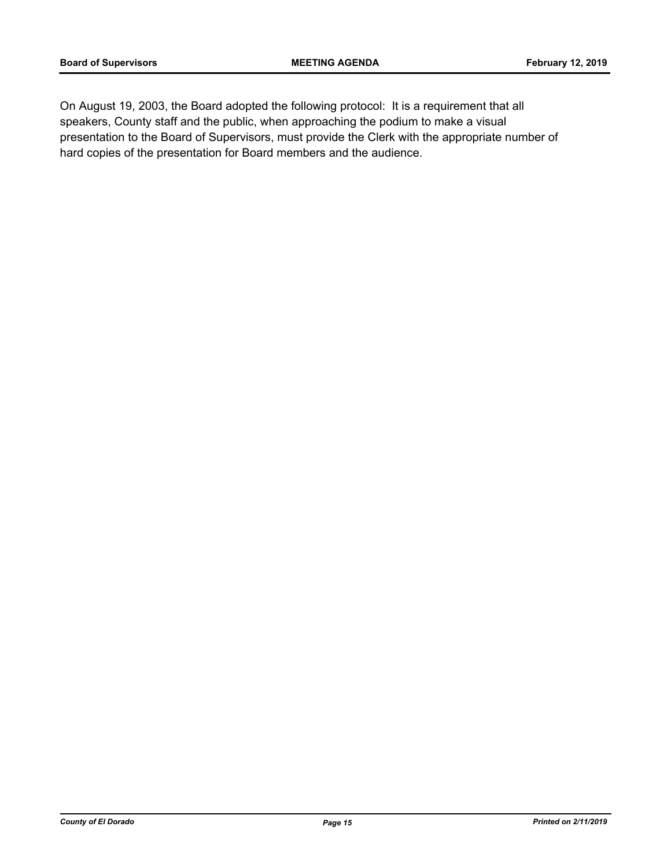On August 19, 2003, the Board adopted the following protocol: It is a requirement that all speakers, County staff and the public, when approaching the podium to make a visual presentation to the Board of Supervisors, must provide the Clerk with the appropriate number of hard copies of the presentation for Board members and the audience.